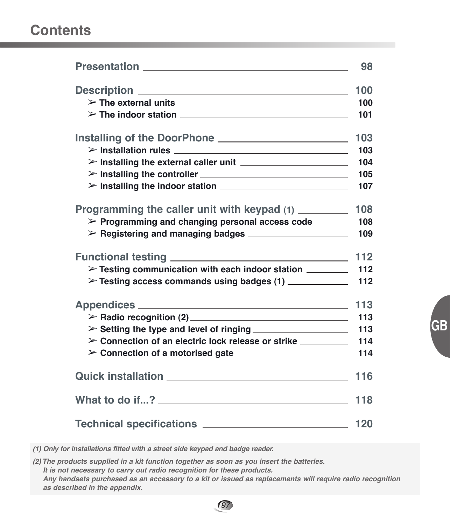# **Contents**

|                                                                                                                                                                                                                                                                                                            | 98  |
|------------------------------------------------------------------------------------------------------------------------------------------------------------------------------------------------------------------------------------------------------------------------------------------------------------|-----|
|                                                                                                                                                                                                                                                                                                            | 100 |
| $\triangleright$ The external units $\perp$                                                                                                                                                                                                                                                                | 100 |
| $\triangleright$ The indoor station $\perp$ $\perp$ $\perp$ $\perp$ $\perp$ $\perp$ $\perp$ $\perp$ $\perp$ $\perp$ $\perp$ $\perp$ $\perp$ $\perp$ $\perp$ $\perp$ $\perp$ $\perp$ $\perp$ $\perp$ $\perp$ $\perp$ $\perp$ $\perp$ $\perp$ $\perp$ $\perp$ $\perp$ $\perp$ $\perp$ $\perp$ $\perp$ $\per$ | 101 |
|                                                                                                                                                                                                                                                                                                            |     |
|                                                                                                                                                                                                                                                                                                            | 103 |
| $\triangleright$ Installation rules $\perp$                                                                                                                                                                                                                                                                | 103 |
| $\triangleright$ Installing the external caller unit $\perp$                                                                                                                                                                                                                                               | 104 |
|                                                                                                                                                                                                                                                                                                            | 105 |
| $\triangleright$ Installing the indoor station $\perp$                                                                                                                                                                                                                                                     | 107 |
|                                                                                                                                                                                                                                                                                                            |     |
| Programming the caller unit with keypad (1) _________                                                                                                                                                                                                                                                      | 108 |
| > Programming and changing personal access code ______                                                                                                                                                                                                                                                     | 108 |
|                                                                                                                                                                                                                                                                                                            | 109 |
|                                                                                                                                                                                                                                                                                                            |     |
|                                                                                                                                                                                                                                                                                                            | 112 |
| $\triangleright$ Testing communication with each indoor station $\sqrt{\phantom{a}}$                                                                                                                                                                                                                       | 112 |
| > Testing access commands using badges (1) ___________                                                                                                                                                                                                                                                     | 112 |
|                                                                                                                                                                                                                                                                                                            |     |
|                                                                                                                                                                                                                                                                                                            | 113 |
|                                                                                                                                                                                                                                                                                                            | 113 |
| $\triangleright$ Setting the type and level of ringing $\_\_\_\_\_\_\_\_\_\_\_\_\_\_\_\_\_\_\_\_$                                                                                                                                                                                                          | 113 |
| > Connection of an electric lock release or strike ________                                                                                                                                                                                                                                                | 114 |
|                                                                                                                                                                                                                                                                                                            | 114 |
|                                                                                                                                                                                                                                                                                                            |     |
|                                                                                                                                                                                                                                                                                                            | 116 |
|                                                                                                                                                                                                                                                                                                            |     |
|                                                                                                                                                                                                                                                                                                            | 118 |
|                                                                                                                                                                                                                                                                                                            |     |
|                                                                                                                                                                                                                                                                                                            | 120 |

*(1) Only for installations fitted with a street side keypad and badge reader.*

*(2) The products supplied in a kit function together as soon as you insert the batteries. It is not necessary to carry out radio recognition for these products. Any handsets purchased as an accessory to a kit or issued as replacements will require radio recognition as described in the appendix.*

97

**GB**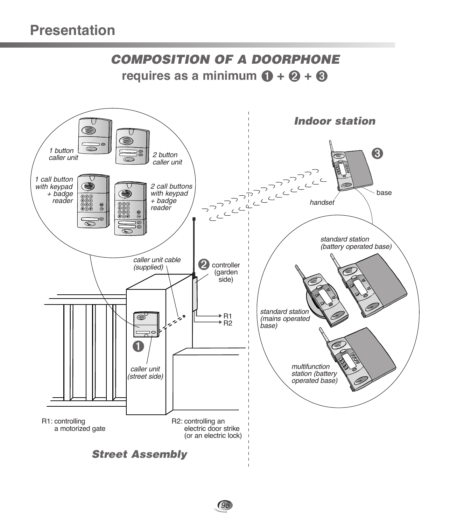# *COMPOSITION OF A DOORPHONE* **requires as a minimum**  $\mathbf{\Theta} + \mathbf{\Theta} + \mathbf{\Theta}$

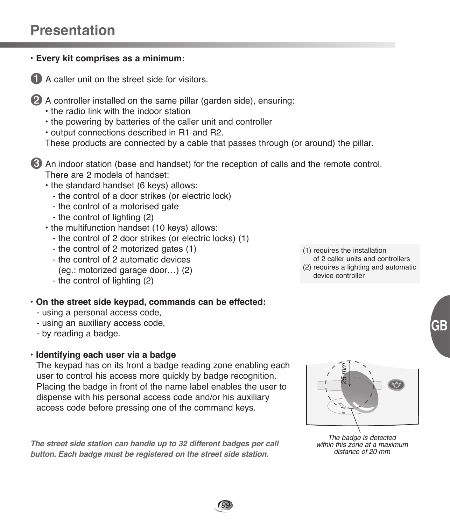# **Presentation**



99

- 
- the control of 2 motorized gates (1) - the control of 2 automatic devices
- (eg.: motorized garage door…) (2)
- the control of lighting (2)
- **On the street side keypad, commands can be effected:**
	- using a personal access code,
	- using an auxiliary access code,
	- by reading a badge.
- **Identifying each user via a badge**

The keypad has on its front a badge reading zone enabling each user to control his access more quickly by badge recognition. Placing the badge in front of the name label enables the user to dispense with his personal access code and/or his auxiliary access code before pressing one of the command keys.

*The street side station can handle up to 32 different badges per call button. Each badge must be registered on the street side station.*

- (1) requires the installation
- of 2 caller units and controllers (2) requires a lighting and automatic
- device controller



The badge is detected within this zone at a maximum distance of 20 mm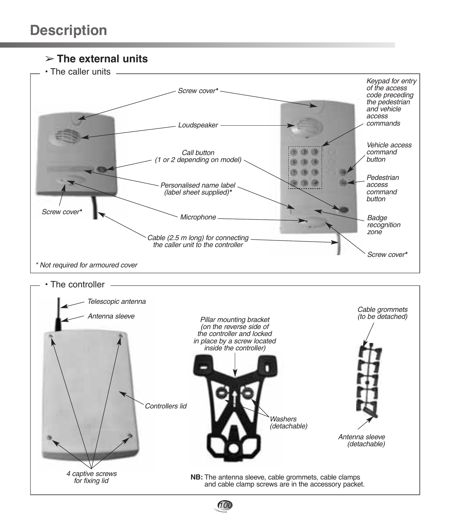➢ **The external units**

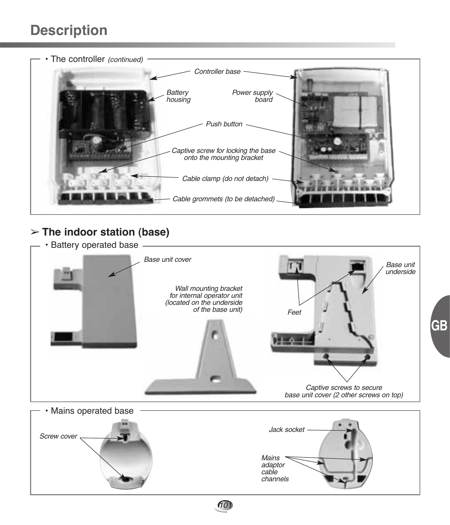# **Description**



# ➢ **The indoor station (base)**



**GB**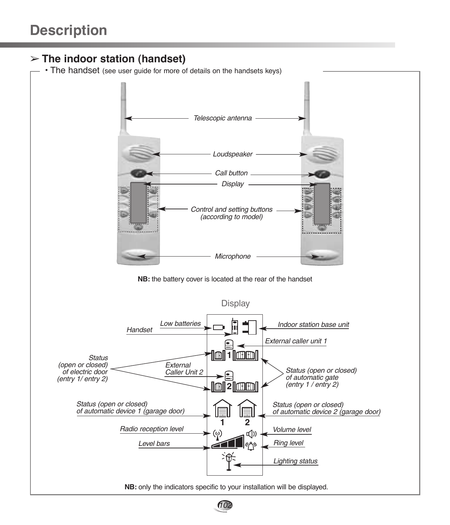# ➢ **The indoor station (handset)**

• The handset (see user guide for more of details on the handsets keys)



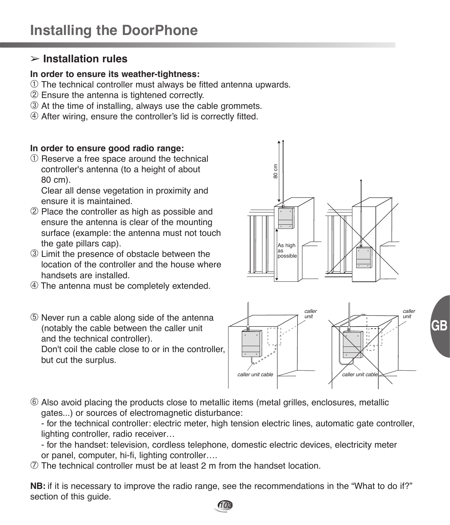## ➢ **Installation rules**

#### **In order to ensure its weather-tightness:**

- ➀ The technical controller must always be fitted antenna upwards.
- ➁ Ensure the antenna is tightened correctly.
- ➂ At the time of installing, always use the cable grommets.
- ➃ After wiring, ensure the controller's lid is correctly fitted.

### **In order to ensure good radio range:**

➀ Reserve a free space around the technical controller's antenna (to a height of about 80 cm).

Clear all dense vegetation in proximity and ensure it is maintained.

- ➁ Place the controller as high as possible and ensure the antenna is clear of the mounting surface (example: the antenna must not touch the gate pillars cap).
- ➂ Limit the presence of obstacle between the location of the controller and the house where handsets are installed.
- ➃ The antenna must be completely extended.
- ➄ Never run a cable along side of the antenna (notably the cable between the caller unit and the technical controller).

Don't coil the cable close to or in the controller, but cut the surplus.





➅ Also avoid placing the products close to metallic items (metal grilles, enclosures, metallic gates...) or sources of electromagnetic disturbance:

- for the technical controller: electric meter, high tension electric lines, automatic gate controller, lighting controller, radio receiver…

- for the handset: television, cordless telephone, domestic electric devices, electricity meter or panel, computer, hi-fi, lighting controller….
- ➆ The technical controller must be at least 2 m from the handset location.

**NB:** if it is necessary to improve the radio range, see the recommendations in the "What to do if?" section of this guide. 103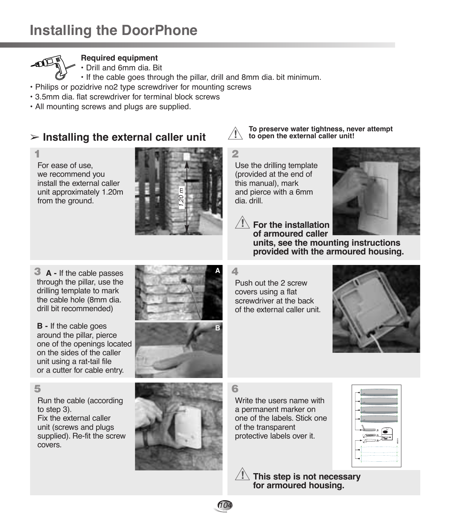

#### **Required equipment**

• Drill and 6mm dia. Bit

- If the cable goes through the pillar, drill and 8mm dia. bit minimum.
- Philips or pozidrive no2 type screwdriver for mounting screws
- 3.5mm dia. flat screwdriver for terminal block screws
- All mounting screws and plugs are supplied.

## ➢ **Installing the external caller unit**



For ease of use, we recommend you install the external caller unit approximately 1.20m from the ground.



**To preserve water tightness, never attempt to open the external caller unit!**

**provided with the armoured housing.**

**2**

**!**

Use the drilling template (provided at the end of this manual), mark and pierce with a 6mm dia. drill.



**A -** If the cable passes **3** through the pillar, use the drilling template to mark the cable hole (8mm dia. drill bit recommended)

**B -** If the cable goes around the pillar, pierce one of the openings located on the sides of the caller unit using a rat-tail file or a cutter for cable entry.

#### **5**

Run the cable (according to step 3). Fix the external caller unit (screws and plugs

supplied). Re-fit the screw covers.



**4**

**!**

Push out the 2 screw covers using a flat screwdriver at the back of the external caller unit.





**6**

104

Write the users name with a permanent marker on one of the labels. Stick one of the transparent protective labels over it.



**This step is not necessary !for armoured housing.**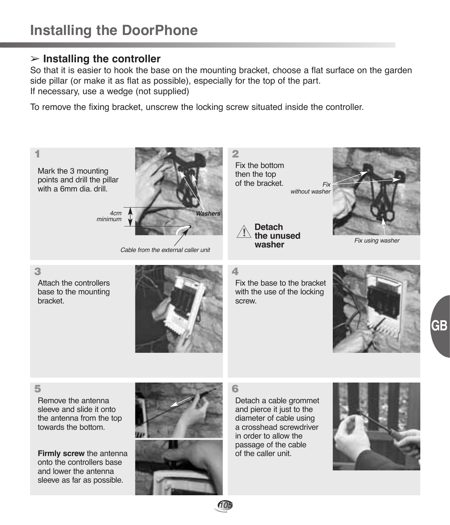### ➢ **Installing the controller**

So that it is easier to hook the base on the mounting bracket, choose a flat surface on the garden side pillar (or make it as flat as possible), especially for the top of the part. If necessary, use a wedge (not supplied)

To remove the fixing bracket, unscrew the locking screw situated inside the controller.

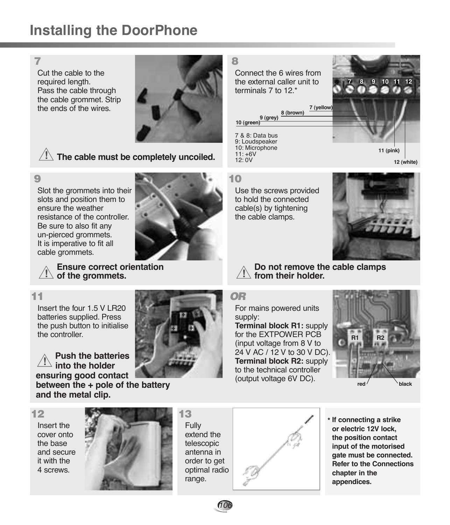# **Installing the DoorPhone**

Cut the cable to the required length. Pass the cable through the cable grommet. Strip the ends of the wires.



 $\sqrt{!}$  The cable must be completely uncoiled.

### **9**

Slot the grommets into their slots and position them to ensure the weather resistance of the controller. Be sure to also fit any un-pierced grommets. It is imperative to fit all cable grommets.



**+ + + +**

**Ensure correct orientation ! of the grommets.**

Insert the four 1.5 V LR20 batteries supplied. Press the push button to initialise the controller.

**Push the batteries into the holder ensuring good contact !**

**between the + pole of the battery and the metal clip.**

#### **12**

Insert the cover onto the base and secure it with the 4 screws.



Fully extend the telescopic antenna in order to get optimal radio range.

**13**

106



**\* If connecting a strike or electric 12V lock, the position contact input of the motorised gate must be connected. Refer to the Connections chapter in the appendices.**

Connect the 6 wires from the external caller unit to terminals 7 to 12 \*

# **7 (yellow) 8 (brown)**

7 & 8: Data bus 9: Loudspeaker 10: Microphone  $11: +6V$  $12: 0V$ **9 (grey) 10 (green)**



Use the screws provided to hold the connected cable(s) by tightening the cable clamps.



**11 (pink)**

**7 8 9 10 11 12**

**12 (white)**

**Do not remove the cable clamps ! from their holder.**

### **11** *OR*

For mains powered units supply:

**Terminal block R1:** supply for the EXTPOWER PCB (input voltage from 8 V to 24 V AC / 12 V to 30 V DC). **Terminal block R2:** supply to the technical controller (output voltage 6V DC).

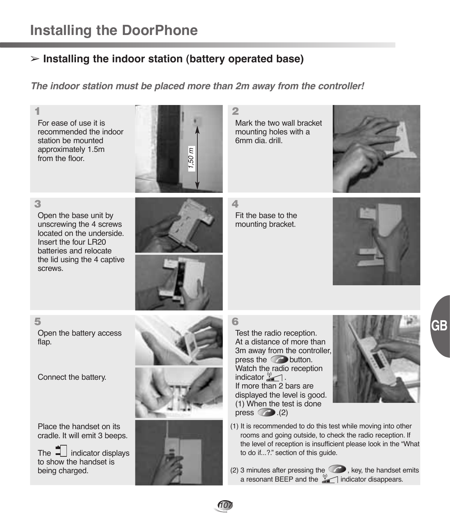# ➢ **Installing the indoor station (battery operated base)**

*The indoor station must be placed more than 2m away from the controller!*

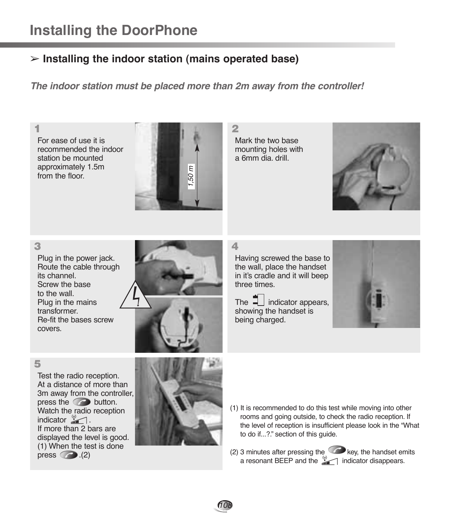# ➢ **Installing the indoor station (mains operated base)**

*The indoor station must be placed more than 2m away from the controller!*

For ease of use it is recommended the indoor station be mounted approximately 1.5m from the floor



Mark the two base mounting holes with a 6mm dia. drill.



#### **3**

Plug in the power jack. Route the cable through its channel. Screw the base to the wall. Plug in the mains transformer. Re-fit the bases screw covers.

**4**

Having screwed the base to the wall, place the handset in it's cradle and it will beep three times.



#### **5**

Test the radio reception. At a distance of more than 3m away from the controller, press the  $\bigcirc$  button. Watch the radio reception indicator  $\mathbb{Z}$ . If more than 2 bars are displayed the level is good. (1) When the test is done press  $\bigcirc$  .(2)







(2) 3 minutes after pressing the  $\bigcirc$  key, the handset emits a resonant BEEP and the  $\sqrt[12]{\ }$  indicator disappears.

108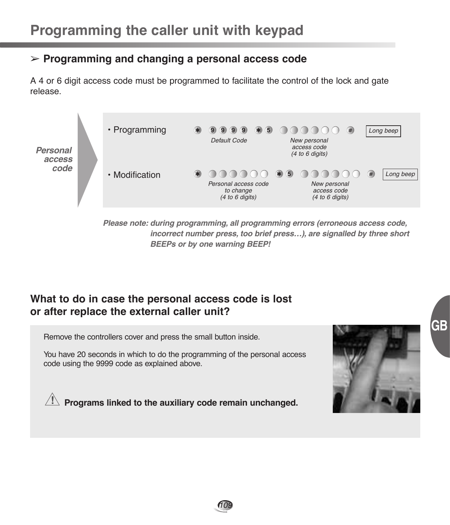## ➢ **Programming and changing a personal access code**

A 4 or 6 digit access code must be programmed to facilitate the control of the lock and gate release.



*Please note: during programming, all programming errors (erroneous access code, incorrect number press, too brief press…), are signalled by three short BEEPs or by one warning BEEP!*

## **What to do in case the personal access code is lost or after replace the external caller unit?**

Remove the controllers cover and press the small button inside.

You have 20 seconds in which to do the programming of the personal access code using the 9999 code as explained above.



**GB**

**Programs linked to the auxiliary code remain unchanged. !**

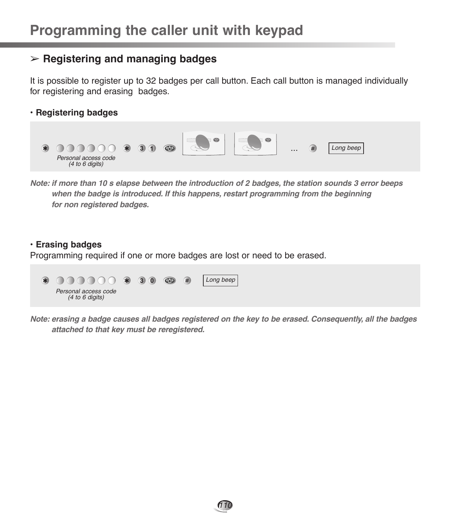## ➢ **Registering and managing badges**

It is possible to register up to 32 badges per call button. Each call button is managed individually for registering and erasing badges.

**• Registering badges**



*Note: if more than 10 s elapse between the introduction of 2 badges, the station sounds 3 error beeps when the badge is introduced. If this happens, restart programming from the beginning for non registered badges.*

### **• Erasing badges**

Programming required if one or more badges are lost or need to be erased.



*Note: erasing a badge causes all badges registered on the key to be erased. Consequently, all the badges attached to that key must be reregistered.*

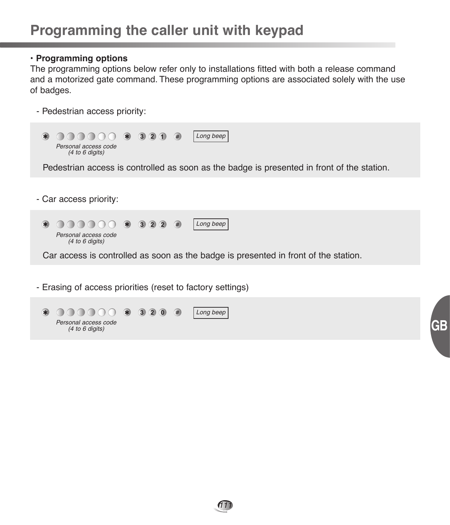#### **• Programming options**

The programming options below refer only to installations fitted with both a release command and a motorized gate command. These programming options are associated solely with the use of badges.

- Pedestrian access priority:

Personal access code (4 to 6 digits)



111

**GB**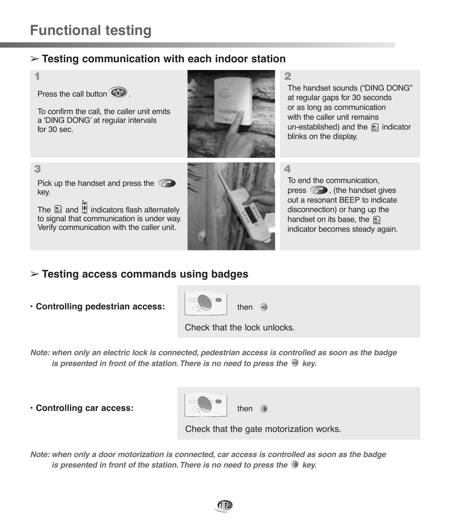for 30 sec.

key.

## ➢ **Testing communication with each indoor station**



The  $\Box$  and  $\Box$  indicators flash alternately to signal that communication is under way. Verify communication with the caller unit.



The handset sounds ("DING DONG" at regular gaps for 30 seconds or as long as communication with the caller unit remains un-established) and the  $\oplus$  indicator blinks on the display.

To end the communication,  $pres$ , (the handset gives out a resonant BEEP to indicate disconnection) or hang up the handset on its base, the  $\bigcirc$ indicator becomes steady again.

# ➢ **Testing access commands using badges**

**• Controlling pedestrian access:**



Check that the lock unlocks.

*Note: when only an electric lock is connected, pedestrian access is controlled as soon as the badge is presented in front of the station. There is no need to press the*  $\odot$  *key.* 

**• Controlling car access:**



Check that the gate motorization works.

*Note: when only a door motorization is connected, car access is controlled as soon as the badge is presented in front of the station. There is no need to press the W key.*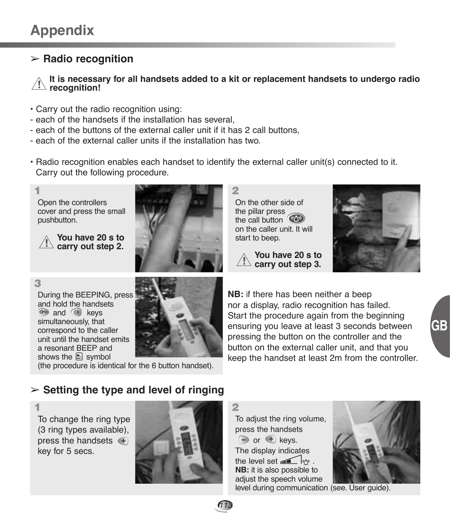# ➢ **Radio recognition**

**It is necessary for all handsets added to a kit or replacement handsets to undergo radio recognition! !**

- Carry out the radio recognition using:
- each of the handsets if the installation has several,
- each of the buttons of the external caller unit if it has 2 call buttons,
- each of the external caller units if the installation has two.
- Radio recognition enables each handset to identify the external caller unit(s) connected to it. Carry out the following procedure.



**You have 20 s to**  $\angle$  **carry out step 2.** 



On the other side of the pillar press the call button on the caller unit. It will start to beep.

**You have 20 s to carry out step 3. !**



**3** During the BEEPING, press and hold the handsets  $\bullet$  and  $\circ$  keys simultaneously, that correspond to the caller unit until the handset emits a resonant BEEP and

shows the  $\triangleq$  symbol



(the procedure is identical for the 6 button handset).

**NB:** if there has been neither a beep nor a display, radio recognition has failed. Start the procedure again from the beginning ensuring you leave at least 3 seconds between pressing the button on the controller and the button on the external caller unit, and that you keep the handset at least 2m from the controller.

## ➢ **Setting the type and level of ringing**

To change the ring type (3 ring types available), press the handsets  $\left( + \right)$ key for 5 secs.



To adjust the ring volume, press the handsets  $\ominus$  or  $\bigoplus$  keys. The display indicates the level set  $\blacksquare$   $\blacksquare$ **NB:** it is also possible to adjust the speech volume



level during communication (see. User guide).

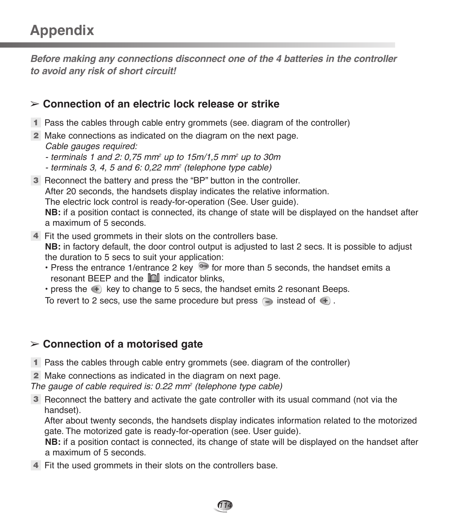# **Appendix**

*Before making any connections disconnect one of the 4 batteries in the controller to avoid any risk of short circuit!*

## ➢ **Connection of an electric lock release or strike**

- Pass the cables through cable entry grommets (see. diagram of the controller) **1**
- Make connections as indicated on the diagram on the next page. **2** Cable gauges required:
	- terminals 1 and 2: 0,75 mm<sup>2</sup> up to  $15m/1.5$  mm<sup>2</sup> up to 30m
	- $-$  terminals 3, 4, 5 and 6: 0,22 mm<sup>2</sup> (telephone type cable)
- Reconnect the battery and press the "BP" button in the controller. **3** After 20 seconds, the handsets display indicates the relative information. The electric lock control is ready-for-operation (See. User guide). **NB:** if a position contact is connected, its change of state will be displayed on the handset after a maximum of 5 seconds.
- Fit the used grommets in their slots on the controllers base. **4 NB:** in factory default, the door control output is adjusted to last 2 secs. It is possible to adjust the duration to 5 secs to suit your application:
	- Press the entrance 1/entrance 2 key  $\bullet$  for more than 5 seconds, the handset emits a resonant BEEP and the  $\lim$  indicator blinks.
	- $\cdot$  press the  $\leftarrow$  key to change to 5 secs, the handset emits 2 resonant Beeps.
	- To revert to 2 secs, use the same procedure but press  $\Box$  instead of  $\bigoplus$ .

## ➢ **Connection of a motorised gate**

- Pass the cables through cable entry grommets (see. diagram of the controller) **1**
- Make connections as indicated in the diagram on next page. **2**

The gauge of cable required is:  $0.22$  mm<sup>2</sup> (telephone type cable)

**3** Reconnect the battery and activate the gate controller with its usual command (not via the handset).

After about twenty seconds, the handsets display indicates information related to the motorized gate. The motorized gate is ready-for-operation (see. User guide).

**NB:** if a position contact is connected, its change of state will be displayed on the handset after a maximum of 5 seconds.

114

**4** Fit the used grommets in their slots on the controllers base.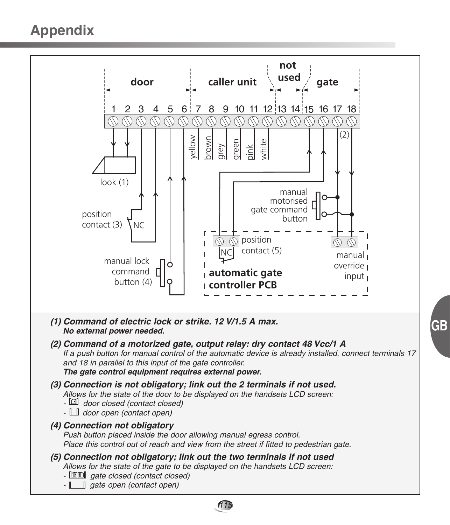# **Appendix**



115

**GB**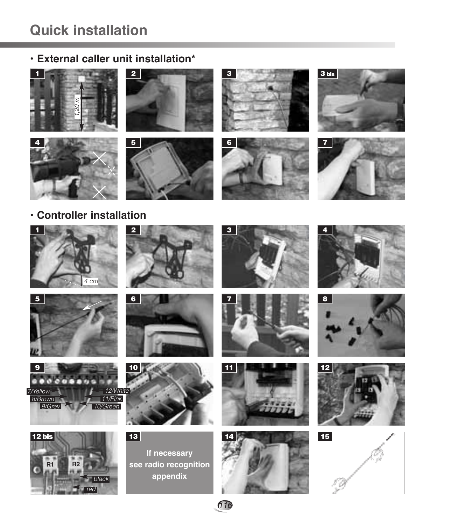# **Quick installation**

# **• External caller unit installation\***















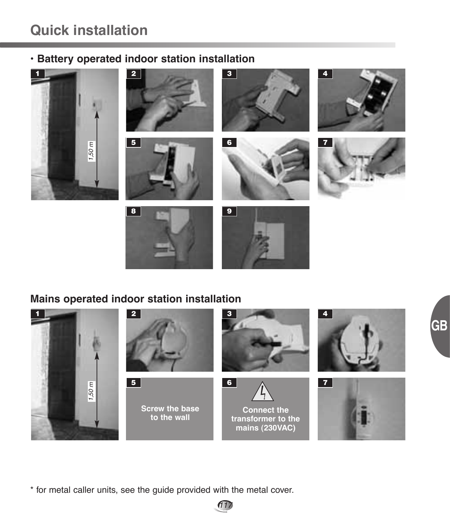# **Quick installation**

# **• Battery operated indoor station installation**



# **Mains operated indoor station installation**

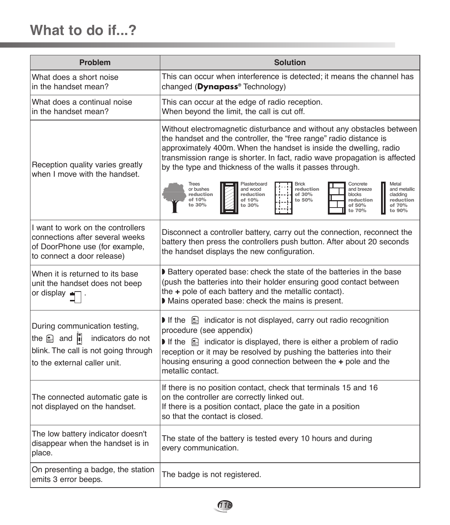| <b>Problem</b>                                                                                                                                                  | <b>Solution</b>                                                                                                                                                                                                                                                                                                                                                                                       |  |
|-----------------------------------------------------------------------------------------------------------------------------------------------------------------|-------------------------------------------------------------------------------------------------------------------------------------------------------------------------------------------------------------------------------------------------------------------------------------------------------------------------------------------------------------------------------------------------------|--|
| What does a short noise<br>in the handset mean?                                                                                                                 | This can occur when interference is detected; it means the channel has<br>changed (Dynapass® Technology)                                                                                                                                                                                                                                                                                              |  |
| What does a continual noise<br>in the handset mean?                                                                                                             | This can occur at the edge of radio reception.<br>When beyond the limit, the call is cut off.                                                                                                                                                                                                                                                                                                         |  |
| Reception quality varies greatly<br>when I move with the handset.                                                                                               | Without electromagnetic disturbance and without any obstacles between<br>the handset and the controller, the "free range" radio distance is<br>approximately 400m. When the handset is inside the dwelling, radio<br>transmission range is shorter. In fact, radio wave propagation is affected<br>by the type and thickness of the walls it passes through.<br><b>Brick</b><br>Metal<br><b>Trees</b> |  |
|                                                                                                                                                                 | Plasterboard<br>Concrete<br>reduction<br>or bushes<br>and wood<br>and breeze<br>and metallic<br>reduction<br>reduction<br>of 30%<br>blocks<br>cladding<br>of 10%<br>reduction<br>of 10%<br>to 50%<br>reduction<br>of 50%<br>of 70%<br>to $30%$<br>to 30%<br>to 70%<br>to 90%                                                                                                                          |  |
| I want to work on the controllers<br>connections after several weeks<br>of DoorPhone use (for example,<br>to connect a door release)                            | Disconnect a controller battery, carry out the connection, reconnect the<br>battery then press the controllers push button. After about 20 seconds<br>the handset displays the new configuration.                                                                                                                                                                                                     |  |
| When it is returned to its base<br>unit the handset does not beep<br>or display ■                                                                               | Battery operated base: check the state of the batteries in the base<br>(push the batteries into their holder ensuring good contact between<br>the + pole of each battery and the metallic contact).<br>Mains operated base: check the mains is present.                                                                                                                                               |  |
| During communication testing,<br>the $\mathbf{a}$ and $\mathbf{b}$<br>indicators do not<br>blink. The call is not going through<br>to the external caller unit. | If the $\triangleq$ indicator is not displayed, carry out radio recognition<br>procedure (see appendix)<br>If the $\triangleq$ indicator is displayed, there is either a problem of radio<br>reception or it may be resolved by pushing the batteries into their<br>housing ensuring a good connection between the + pole and the<br>metallic contact.                                                |  |
| The connected automatic gate is<br>not displayed on the handset.                                                                                                | If there is no position contact, check that terminals 15 and 16<br>on the controller are correctly linked out.<br>If there is a position contact, place the gate in a position<br>so that the contact is closed.                                                                                                                                                                                      |  |
| The low battery indicator doesn't<br>disappear when the handset is in<br>place.                                                                                 | The state of the battery is tested every 10 hours and during<br>every communication.                                                                                                                                                                                                                                                                                                                  |  |
| On presenting a badge, the station<br>emits 3 error beeps.                                                                                                      | The badge is not registered.                                                                                                                                                                                                                                                                                                                                                                          |  |

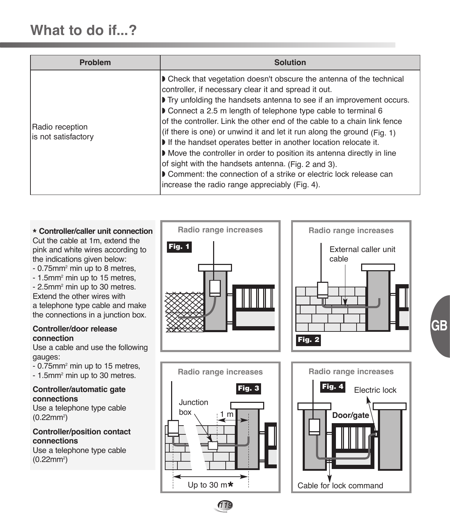| <b>Problem</b>                         | <b>Solution</b>                                                                                                                                                                                                                                                                                                                                                                                                                                                                                                                                                                                                                                                                                                                                            |
|----------------------------------------|------------------------------------------------------------------------------------------------------------------------------------------------------------------------------------------------------------------------------------------------------------------------------------------------------------------------------------------------------------------------------------------------------------------------------------------------------------------------------------------------------------------------------------------------------------------------------------------------------------------------------------------------------------------------------------------------------------------------------------------------------------|
| Radio reception<br>is not satisfactory | <b>D</b> Check that vegetation doesn't obscure the antenna of the technical<br>controller, if necessary clear it and spread it out.<br>Try unfolding the handsets antenna to see if an improvement occurs.<br>Connect a 2.5 m length of telephone type cable to terminal 6<br>of the controller. Link the other end of the cable to a chain link fence<br>(if there is one) or unwind it and let it run along the ground (Fig. 1)<br>If the handset operates better in another location relocate it.<br>Move the controller in order to position its antenna directly in line<br>of sight with the handsets antenna. (Fig. 2 and 3).<br>Comment: the connection of a strike or electric lock release can<br>increase the radio range appreciably (Fig. 4). |

#### **\* Controller/caller unit connection**

Cut the cable at 1m, extend the pink and white wires according to the indications given below:

- 0.75mm2 min up to 8 metres,

- 1.5mm<sup>2</sup> min up to 15 metres, - 2.5mm<sup>2</sup> min up to 30 metres. Extend the other wires with a telephone type cable and make the connections in a junction box.

#### **Controller/door release connection**

Use a cable and use the following gauges:

- 0.75mm2 min up to 15 metres, - 1.5mm<sup>2</sup> min up to 30 metres.

#### **Controller/automatic gate connections**

Use a telephone type cable  $(0.22$ mm<sup>2</sup>)

#### **Controller/position contact connections** Use a telephone type cable

 $(0.22$ mm<sup>2</sup> $)$ 





**GB**